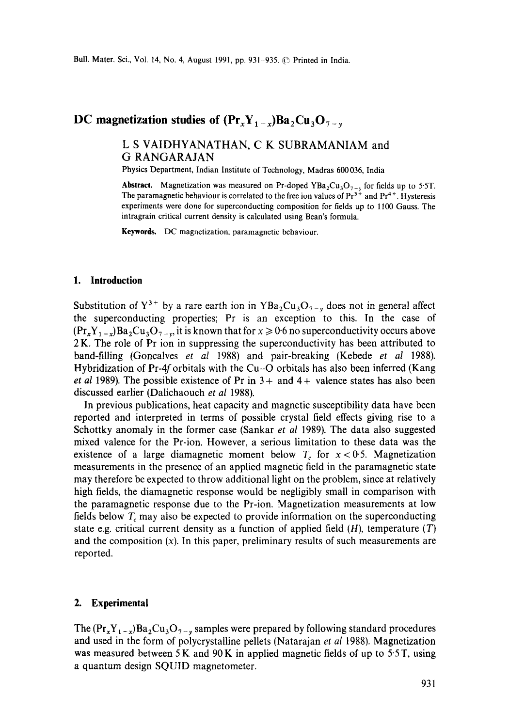# **DC** magnetization studies of  $(\Pr_{x}Y_{1-x})Ba_{2}Cu_{3}O_{7-x}$

## **L S VAIDHYANATHAN, C K SUBRAMANIAM and G RANGARAJAN**

Physics Department, Indian Institute of Technology, Madras 600036, India

**Abstract.** Magnetization was measured on Pr-doped YBa<sub>2</sub>Cu<sub>3</sub>O<sub>7-v</sub> for fields up to 5.5T. The paramagnetic behaviour is correlated to the free ion values of  $Pr<sup>3+</sup>$  and  $Pr<sup>4+</sup>$ . Hysteresis experiments were done for superconducting composition for fields up to 1100 Gauss. The intragrain critical current density is calculated using Bean's formula.

Keywords. DC magnetization; paramagnetic behaviour.

#### **1. Introduction**

Substitution of  $Y^{3+}$  by a rare earth ion in YBa<sub>2</sub>Cu<sub>3</sub>O<sub>7-y</sub> does not in general affect the superconducting properties; Pr is an exception to this. In the case of  $(\Pr_x Y_{1-x}) Ba_2Cu_3O_{7-x}$ , it is known that for  $x \ge 0.6$  no superconductivity occurs above 2 K. The role of Pr ion in suppressing the superconductivity has been attributed to band-filling (Goncalves *et al* 1988) and pair-breaking (Kebede *et al* 1988). Hybridization of Pr-4f orbitals with the Cu-O orbitals has also been inferred (Kang *et al 1989*). The possible existence of Pr in  $3+$  and  $4+$  valence states has also been discussed earlier (Dalichaouch *et al* 1988).

In previous publications, heat capacity and magnetic susceptibility data have been reported and interpreted in terms of possible crystal field effects giving rise to a Schottky anomaly in the former case (Sankar *et al* 1989). The data also suggested mixed valence for the Pr-ion. However, a serious limitation to these data was the existence of a large diamagnetic moment below  $T_c$  for  $x < 0.5$ . Magnetization measurements in the presence of an applied magnetic field in the paramagnetic state may therefore be expected to throw additional light on the problem, since at relatively high fields, the diamagnetic response would be negligibly small in comparison with the paramagnetic response due to the Pr-ion. Magnetization measurements at low fields below  $T_c$  may also be expected to provide information on the superconducting state e.g. critical current density as a function of applied field  $(H)$ , temperature  $(T)$ and the composition (x). In this paper, preliminary results of such measurements are reported.

#### **2. Experimental**

The  $(\Pr_x Y_{1-x})Ba_2Cu_3O_{7-x}$  samples were prepared by following standard procedures and used in the form of polycrystalline pellets (Natarajan *et al* 1988). Magnetization was measured between 5 K and  $90 K$  in applied magnetic fields of up to 5.5 T, using a quantum design SQUID magnetometer.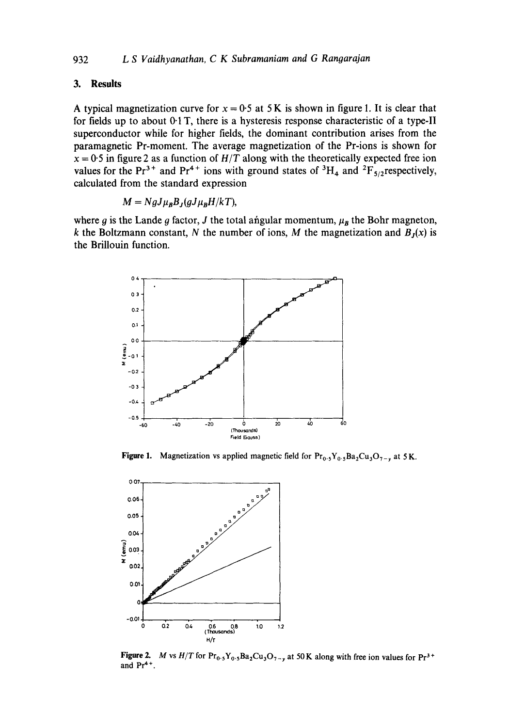### **3. Results**

A typical magnetization curve for  $x = 0.5$  at 5 K is shown in figure 1. It is clear that **for fields up to about 0-1 T, there is a hysteresis response characteristic of a type-II superconductor while for higher fields, the dominant contribution arises from the paramagnetic Pr-moment. The average magnetization of the Pr-ions is shown for**   $x = 0.5$  in figure 2 as a function of  $H/T$  along with the theoretically expected free ion values for the Pr<sup>3+</sup> and Pr<sup>4+</sup> ions with ground states of <sup>3</sup>H<sub>4</sub> and <sup>2</sup>F<sub>5/2</sub>respectively, **calculated from the standard expression** 

$$
M = NgJ\mu_B B_J(gJ\mu_B H/kT),
$$

where  $g$  is the Lande  $g$  factor,  $J$  the total angular momentum,  $\mu_B$  the Bohr magneton, k the Boltzmann constant, N the number of ions, M the magnetization and  $B<sub>J</sub>(x)$  is **the Brillouin function.** 



**Figure 1.** Magnetization vs applied magnetic field for  $\Pr_{0.5}Y_{0.5}Ba_2Cu_3O_{7-v}$  at 5 K.



**Figure 2.**  and Pr<sup>4+</sup>. *M* vs  $H/T$  for  $Pr_0$ ,  $Y_0$ ,  $Ba_2Cu_3O_{7-y}$  at 50 K along with free ion values for  $Pr^{3+}$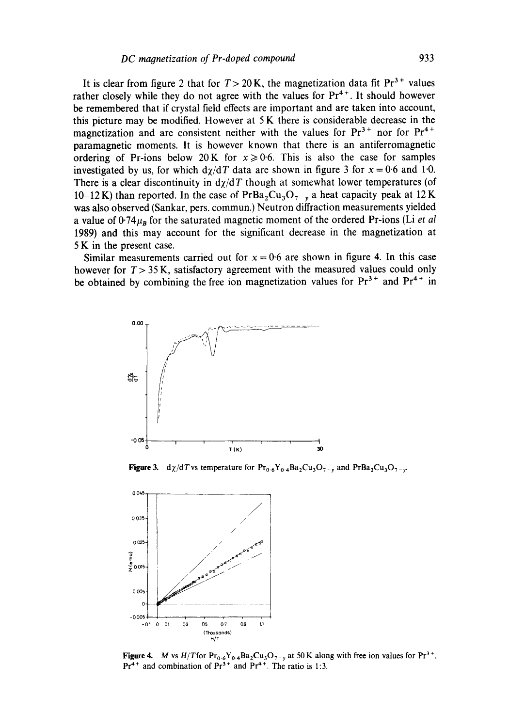It is clear from figure 2 that for  $T > 20$  K, the magnetization data fit  $Pr<sup>3+</sup>$  values rather closely while they do not agree with the values for  $Pr^{4+}$ . It should however **be remembered that if crystal field effects are important and are taken into account, this picture may be modified. However at 5 K there is considerable decrease in the**  magnetization and are consistent neither with the values for  $Pr<sup>3+</sup>$  nor for  $Pr<sup>4+</sup>$ **paramagnetic moments. It is however known that there is an antiferromagnetic**  ordering of Pr-ions below 20 K for  $x \ge 0.6$ . This is also the case for samples investigated by us, for which  $d\chi/dT$  data are shown in figure 3 for  $x = 0.6$  and 1.0. There is a clear discontinuity in  $\frac{d}{d}$  though at somewhat lower temperatures (of 10-12 K) than reported. In the case of  $PrBa<sub>2</sub>Cu<sub>3</sub>O<sub>7-x</sub>$  a heat capacity peak at 12 K **was also observed (Sankar, pers. commun.) Neutron diffraction measurements yielded a value of 0.74** $\mu_B$  **for the saturated magnetic moment of the ordered Pr-ions (Li** *et al* **1989) and this may account for the significant decrease in the magnetization at 5 K in the present case.** 

**Similar measurements carried out for**  $x = 0.6$  **are shown in figure 4. In this case however for T> 35 K, satisfactory agreement with the measured values could only**  be obtained by combining the free ion magnetization values for  $Pr<sup>3+</sup>$  and  $Pr<sup>4+</sup>$  in



**Figure 3.** d $\chi$ /dTvs temperature for  $\Pr_{0.6}Y_{0.4}Ba_2Cu_3O_{7-y}$  and  $\PrBa_2Cu_3O_{7-y}$ .



**Figure 4.** M vs  $H/T$  for  $Pr_{0.6}Y_{0.4}Ba_2Cu_3O_{7-y}$  at 50 K along with free ion values for  $Pr^{3+}$ ,  $Pr<sup>4+</sup>$  and combination of  $Pr<sup>3+</sup>$  and  $Pr<sup>4+</sup>$ . The ratio is 1:3.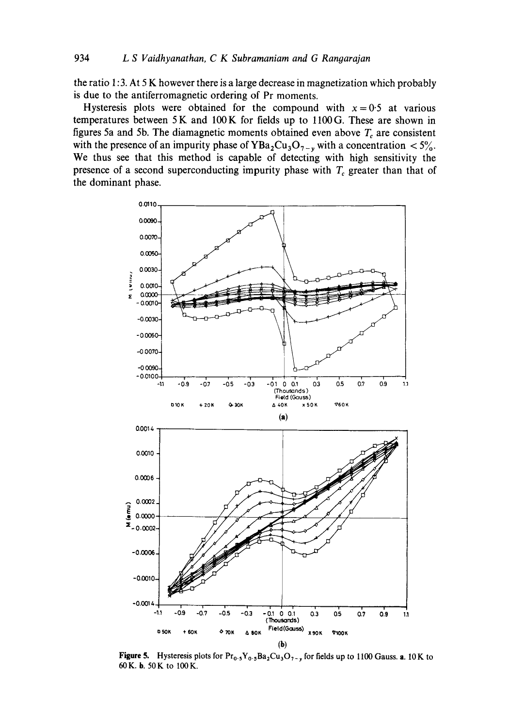**the ratio 1: 3. At 5 K however there is a large decrease in magnetization which probably is due to the antiferromagnetic ordering of Pr moments.** 

Hysteresis plots were obtained for the compound with  $x=0.5$  at various **temperatures between 5K and 100K for fields up to llooG. These are shown in**  figures 5a and 5b. The diamagnetic moments obtained even above  $T_c$  are consistent with the presence of an impurity phase of  $YBa<sub>2</sub>Cu<sub>3</sub>O<sub>7-y</sub>$  with a concentration  $\langle 5\frac{9}{10}\rangle$ . **We thus see that this method is capable of detecting with high sensitivity the**  presence of a second superconducting impurity phase with  $T_c$  greater than that of **the dominant phase.** 



**Figure 5.** Hysteresis plots for  $\text{Pr}_{0.5}\text{Y}_{0.5}\text{Ba}_2\text{Cu}_3\text{O}_{7-y}$  for fields up to 1100 Gauss. a. 10 K to **60K. b. 50K to 100K.**